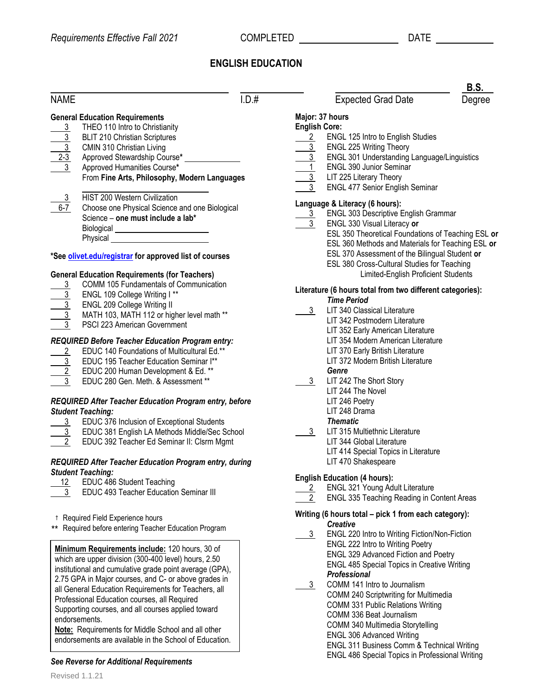ESL 350 Theoretical Foundations of Teaching ESL **or** ESL 360 Methods and Materials for Teaching ESL **or** ESL 370 Assessment of the Bilingual Student **or** 380 Cross-Cultural Studies for Teaching Limited-English Proficient Students

# **ENGLISH EDUCATION**

| <b>NAME</b>                                            | 1. D.#                                                 |                      | <b>Expected Grad Date</b>                                                       | Degre |  |
|--------------------------------------------------------|--------------------------------------------------------|----------------------|---------------------------------------------------------------------------------|-------|--|
|                                                        | <b>General Education Requirements</b>                  |                      | Major: 37 hours                                                                 |       |  |
|                                                        | THEO 110 Intro to Christianity                         | <b>English Core:</b> |                                                                                 |       |  |
|                                                        | <b>BLIT 210 Christian Scriptures</b>                   | $\overline{2}$       | ENGL 125 Intro to English Studies                                               |       |  |
|                                                        | CMIN 310 Christian Living                              | $\overline{3}$       | ENGL 225 Writing Theory                                                         |       |  |
|                                                        | Approved Stewardship Course*                           |                      | <b>ENGL 301 Understanding Language/Linguistics</b>                              |       |  |
| $\frac{\frac{3}{3}}{\frac{2 \cdot 3}{3}}$              | Approved Humanities Course*                            |                      | ENGL 390 Junior Seminar                                                         |       |  |
|                                                        | From Fine Arts, Philosophy, Modern Languages           | 3 <sub>1</sub>       | LIT 225 Literary Theory                                                         |       |  |
|                                                        |                                                        | $\mathfrak{Z}$       | <b>ENGL 477 Senior English Seminar</b>                                          |       |  |
| $\overline{3}$                                         | HIST 200 Western Civilization                          |                      |                                                                                 |       |  |
| $6 - 7$                                                | Choose one Physical Science and one Biological         |                      | Language & Literacy (6 hours):                                                  |       |  |
|                                                        | Science - one must include a lab*                      | $\frac{3}{2}$        | ENGL 303 Descriptive English Grammar                                            |       |  |
|                                                        | Biological ___________________________                 |                      | ENGL 330 Visual Literacy or                                                     |       |  |
|                                                        | <b>Physical Example 2018</b>                           |                      | ESL 350 Theoretical Foundations of Teaching ES                                  |       |  |
|                                                        |                                                        |                      | ESL 360 Methods and Materials for Teaching ES                                   |       |  |
|                                                        | *See olivet.edu/registrar for approved list of courses |                      | ESL 370 Assessment of the Bilingual Student or                                  |       |  |
|                                                        |                                                        |                      | ESL 380 Cross-Cultural Studies for Teaching                                     |       |  |
|                                                        | <b>General Education Requirements (for Teachers)</b>   |                      | Limited-English Proficient Students                                             |       |  |
| 3                                                      | COMM 105 Fundamentals of Communication                 |                      |                                                                                 |       |  |
|                                                        | ENGL 109 College Writing I**                           |                      | Literature (6 hours total from two different categories):<br><b>Time Period</b> |       |  |
| $rac{\frac{1}{3}}{3}$                                  | ENGL 209 College Writing II                            |                      |                                                                                 |       |  |
|                                                        | MATH 103, MATH 112 or higher level math **             | 3 <sup>7</sup>       | LIT 340 Classical Literature                                                    |       |  |
|                                                        | PSCI 223 American Government                           |                      | LIT 342 Postmodern Literature                                                   |       |  |
|                                                        |                                                        |                      | LIT 352 Early American Literature                                               |       |  |
|                                                        | REQUIRED Before Teacher Education Program entry:       |                      | LIT 354 Modern American Literature                                              |       |  |
| $\overline{2}$                                         | EDUC 140 Foundations of Multicultural Ed.**            |                      | LIT 370 Early British Literature                                                |       |  |
|                                                        | EDUC 195 Teacher Education Seminar I**                 |                      | LIT 372 Modern British Literature                                               |       |  |
|                                                        | EDUC 200 Human Development & Ed. **                    |                      | Genre                                                                           |       |  |
|                                                        | EDUC 280 Gen. Meth. & Assessment **                    | 3 <sup>1</sup>       | LIT 242 The Short Story                                                         |       |  |
|                                                        |                                                        |                      | LIT 244 The Novel                                                               |       |  |
| REQUIRED After Teacher Education Program entry, before |                                                        |                      | LIT 246 Poetry                                                                  |       |  |
| <b>Student Teaching:</b>                               |                                                        |                      | LIT 248 Drama                                                                   |       |  |
|                                                        | 3 EDUC 376 Inclusion of Exceptional Students           |                      | <b>Thematic</b>                                                                 |       |  |
|                                                        | 3 EDUC 381 English LA Methods Middle/Sec School        | 3 <sup>1</sup>       | LIT 315 Multiethnic Literature                                                  |       |  |
|                                                        | EDUC 392 Teacher Ed Seminar II: Clsrm Mgmt             |                      | LIT 344 Global Literature                                                       |       |  |
|                                                        |                                                        |                      | LIT 414 Special Topics in Literature                                            |       |  |
| REQUIRED After Teacher Education Program entry, during |                                                        |                      | LIT 470 Shakespeare                                                             |       |  |

# **English Education (4 hours):**

- 2 ENGL 321 Young Adult Literature
- 2 ENGL 335 Teaching Reading in Content Areas

## **Writing (6 hours total – pick 1 from each category):** *Creative*

3 ENGL 220 Intro to Writing Fiction/Non-Fiction ENGL 222 Intro to Writing Poetry ENGL 329 Advanced Fiction and Poetry ENGL 485 Special Topics in Creative Writing *Professional*

#### 3 COMM 141 Intro to Journalism COMM 240 Scriptwriting for Multimedia COMM 331 Public Relations Writing COMM 336 Beat Journalism COMM 340 Multimedia Storytelling ENGL 306 Advanced Writing ENGL 311 Business Comm & Technical Writing ENGL 486 Special Topics in Professional Writing

#### † Required Field Experience hours

12 EDUC 486 Student Teaching

*Student Teaching:*

\*\* Required before entering Teacher Education Program

3 EDUC 493 Teacher Education Seminar III

**Minimum Requirements include:** 120 hours, 30 of which are upper division (300-400 level) hours, 2.50 institutional and cumulative grade point average (GPA), 2.75 GPA in Major courses, and C- or above grades in all General Education Requirements for Teachers, all Professional Education courses, all Required Supporting courses, and all courses applied toward endorsements.

**Note:** Requirements for Middle School and all other endorsements are available in the School of Education.

## *See Reverse for Additional Requirements*

Expected Grad Date Degree